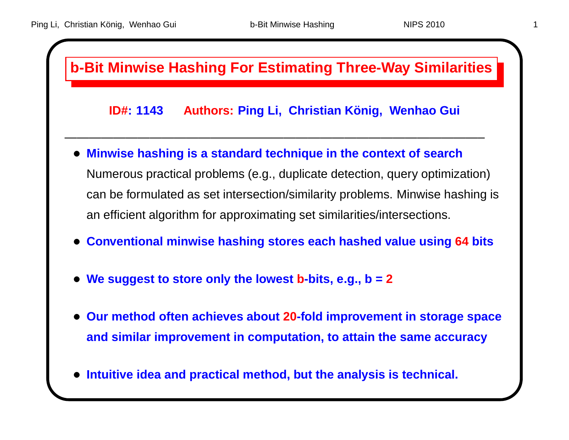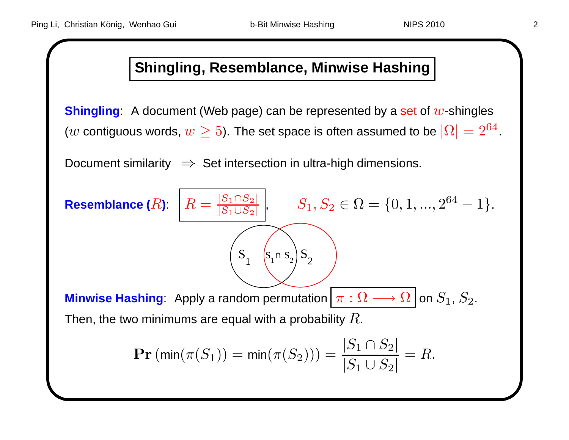### **Shingling, Resemblance, Minwise Hashing**

**Shingling**: A document (Web page) can be represented by <sup>a</sup> set of <sup>w</sup>-shingles  $(w$  contiguous words,  $w\geq 5$ ). The set space is often assumed to be  $|\Omega| = 2^{64}$ .

Document similarity <sup>⇒</sup> Set intersection in ultra-high dimensions.

 $\textsf{Resemblance}$   $(R)$ :  $\left | R = \frac{|S_1 \cap S_2|}{|S_2 + |S_2|} \right |$  $|S_1 \cup S_2|$  $S_1, S_2 \in \Omega = \{0, 1, ..., 2^{64} - 1\}.$ S 1 S 2  $S_1 \cap S_2$ **Minwise Hashing**: Apply a random permutation  $\boxed{\pi:\Omega\longrightarrow\Omega}$  on  $S_1,S_2.$ Then, the two minimums are equal with a probability  $R_{\cdot}$ 

$$
\mathbf{Pr}(\min(\pi(S_1)) = \min(\pi(S_2))) = \frac{|S_1 \cap S_2|}{|S_1 \cup S_2|} = R.
$$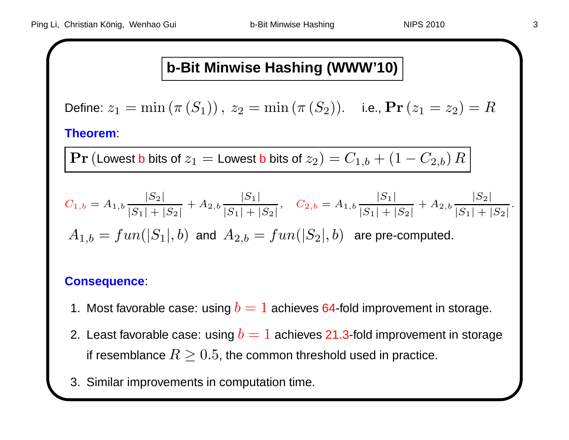## **b-Bit Minwise Hashing (WWW'10)**

Define: 
$$
z_1 = \min(\pi(S_1)), z_2 = \min(\pi(S_2)).
$$
 i.e.,  $Pr(z_1 = z_2) = R$ 

**Theorem**:

$$
\mathbf{Pr}\left(\text{Lowest } \mathbf{b} \text{ bits of } z_1 = \text{Lowest } \mathbf{b} \text{ bits of } z_2\right) = C_{1,b} + \left(1 - C_{2,b}\right)R
$$

$$
C_{1,b} = A_{1,b} \frac{|S_2|}{|S_1| + |S_2|} + A_{2,b} \frac{|S_1|}{|S_1| + |S_2|}, \quad C_{2,b} = A_{1,b} \frac{|S_1|}{|S_1| + |S_2|} + A_{2,b} \frac{|S_2|}{|S_1| + |S_2|}.
$$
  

$$
A_{1,b} = fun(|S_1|, b) \text{ and } A_{2,b} = fun(|S_2|, b) \text{ are pre-computed.}
$$

#### **Consequence**:

- 1. Most favorable case: using  $b=1$  achieves 64-fold improvement in storage.
- 2. Least favorable case: using  $b=1$  achieves 21.3-fold improvement in storage if resemblance  $R\geq 0.5$ , the common threshold used in practice.
- 3. Similar improvements in computation time.